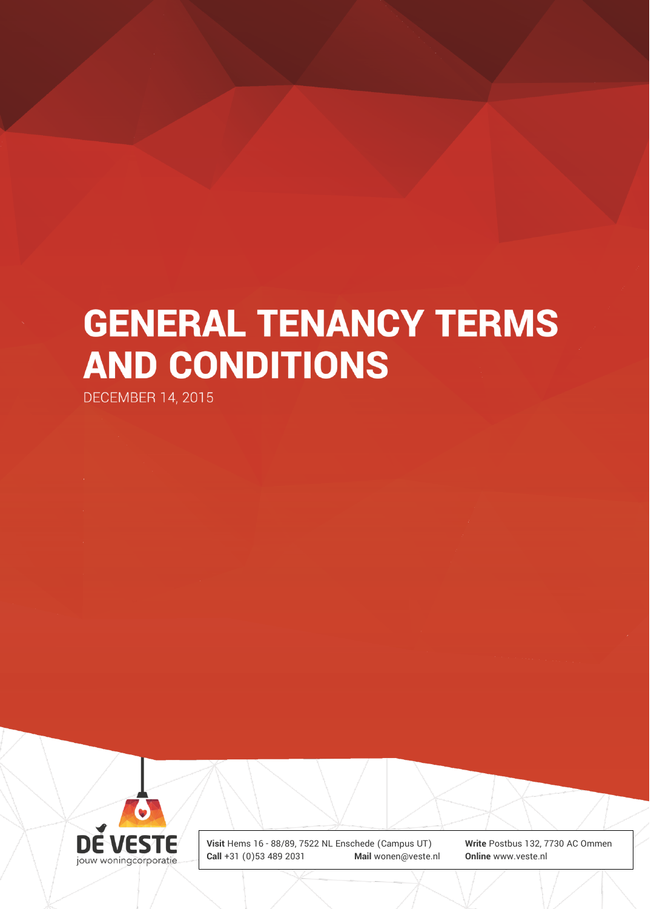# **GENERAL TENANCY TERMS AND CONDITIONS**

**DECEMBER 14, 2015** 

**DE VESTE** jouw woningcorporatie

**Visit** Hems 16 - 88/89, 7522 NL Enschede (Campus UT) **Write** Postbus 132, 7730 AC Ommen **Call** +31 (0)53 489 2031 **Mail** wonen@veste.nl **Online** www.veste.nl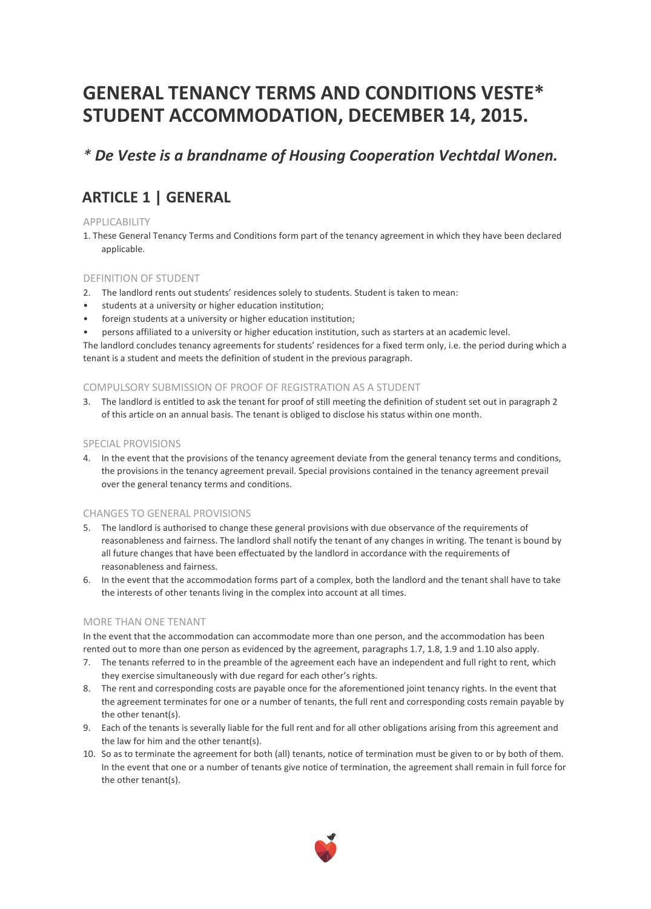# **GENERAL TENANCY TERMS AND CONDITIONS VESTE\* STUDENT ACCOMMODATION, DECEMBER 14, 2015.**

### *\* De Veste is a brandname of Housing Cooperation Vechtdal Wonen.*

## **ARTICLE 1 | GENERAL**

#### APPLICABILITY

1. These General Tenancy Terms and Conditions form part of the tenancy agreement in which they have been declared applicable.

#### DEFINITION OF STUDENT

- 2. The landlord rents out students' residences solely to students. Student is taken to mean:
- students at a university or higher education institution;
- foreign students at a university or higher education institution;
- persons affiliated to a university or higher education institution, such as starters at an academic level.

The landlord concludes tenancy agreements for students' residences for a fixed term only, i.e. the period during which a tenant is a student and meets the definition of student in the previous paragraph.

#### COMPULSORY SUBMISSION OF PROOF OF REGISTRATION AS A STUDENT

3. The landlord is entitled to ask the tenant for proof of still meeting the definition of student set out in paragraph 2 of this article on an annual basis. The tenant is obliged to disclose his status within one month.

#### SPECIAL PROVISIONS

4. In the event that the provisions of the tenancy agreement deviate from the general tenancy terms and conditions, the provisions in the tenancy agreement prevail. Special provisions contained in the tenancy agreement prevail over the general tenancy terms and conditions.

#### CHANGES TO GENERAL PROVISIONS

- 5. The landlord is authorised to change these general provisions with due observance of the requirements of reasonableness and fairness. The landlord shall notify the tenant of any changes in writing. The tenant is bound by all future changes that have been effectuated by the landlord in accordance with the requirements of reasonableness and fairness.
- 6. In the event that the accommodation forms part of a complex, both the landlord and the tenant shall have to take the interests of other tenants living in the complex into account at all times.

#### MORE THAN ONE TENANT

In the event that the accommodation can accommodate more than one person, and the accommodation has been rented out to more than one person as evidenced by the agreement, paragraphs 1.7, 1.8, 1.9 and 1.10 also apply.

- 7. The tenants referred to in the preamble of the agreement each have an independent and full right to rent, which they exercise simultaneously with due regard for each other's rights.
- 8. The rent and corresponding costs are payable once for the aforementioned joint tenancy rights. In the event that the agreement terminates for one or a number of tenants, the full rent and corresponding costs remain payable by the other tenant(s).
- 9. Each of the tenants is severally liable for the full rent and for all other obligations arising from this agreement and the law for him and the other tenant(s).
- 10. So as to terminate the agreement for both (all) tenants, notice of termination must be given to or by both of them. In the event that one or a number of tenants give notice of termination, the agreement shall remain in full force for the other tenant(s).

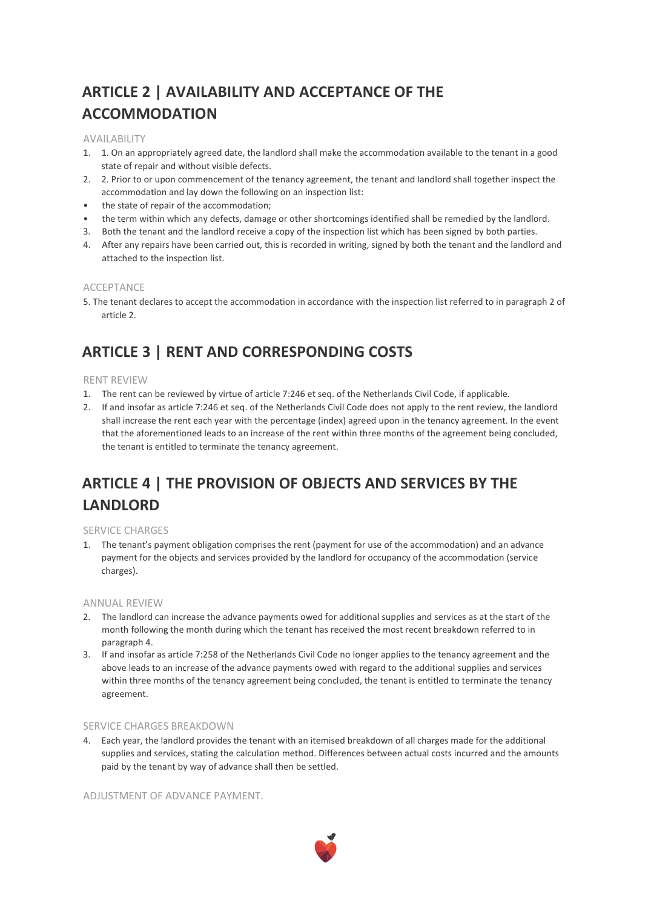# **ARTICLE 2 | AVAILABILITY AND ACCEPTANCE OF THE ACCOMMODATION**

#### AVAILABILITY

- 1. 1. On an appropriately agreed date, the landlord shall make the accommodation available to the tenant in a good state of repair and without visible defects.
- 2. 2. Prior to or upon commencement of the tenancy agreement, the tenant and landlord shall together inspect the accommodation and lay down the following on an inspection list:
- the state of repair of the accommodation;
- the term within which any defects, damage or other shortcomings identified shall be remedied by the landlord.
- 3. Both the tenant and the landlord receive a copy of the inspection list which has been signed by both parties.
- 4. After any repairs have been carried out, this is recorded in writing, signed by both the tenant and the landlord and attached to the inspection list.

#### ACCEPTANCE

5. The tenant declares to accept the accommodation in accordance with the inspection list referred to in paragraph 2 of article 2.

### **ARTICLE 3 | RENT AND CORRESPONDING COSTS**

#### RENT REVIEW

- 1. The rent can be reviewed by virtue of article 7:246 et seq. of the Netherlands Civil Code, if applicable.
- 2. If and insofar as article 7:246 et seq. of the Netherlands Civil Code does not apply to the rent review, the landlord shall increase the rent each year with the percentage (index) agreed upon in the tenancy agreement. In the event that the aforementioned leads to an increase of the rent within three months of the agreement being concluded, the tenant is entitled to terminate the tenancy agreement.

# **ARTICLE 4 | THE PROVISION OF OBJECTS AND SERVICES BY THE LANDLORD**

#### SERVICE CHARGES

1. The tenant's payment obligation comprises the rent (payment for use of the accommodation) and an advance payment for the objects and services provided by the landlord for occupancy of the accommodation (service charges).

#### ANNUAL REVIEW

- 2. The landlord can increase the advance payments owed for additional supplies and services as at the start of the month following the month during which the tenant has received the most recent breakdown referred to in paragraph 4.
- 3. If and insofar as article 7:258 of the Netherlands Civil Code no longer applies to the tenancy agreement and the above leads to an increase of the advance payments owed with regard to the additional supplies and services within three months of the tenancy agreement being concluded, the tenant is entitled to terminate the tenancy agreement.

#### SERVICE CHARGES BREAKDOWN

4. Each year, the landlord provides the tenant with an itemised breakdown of all charges made for the additional supplies and services, stating the calculation method. Differences between actual costs incurred and the amounts paid by the tenant by way of advance shall then be settled.

ADJUSTMENT OF ADVANCE PAYMENT.

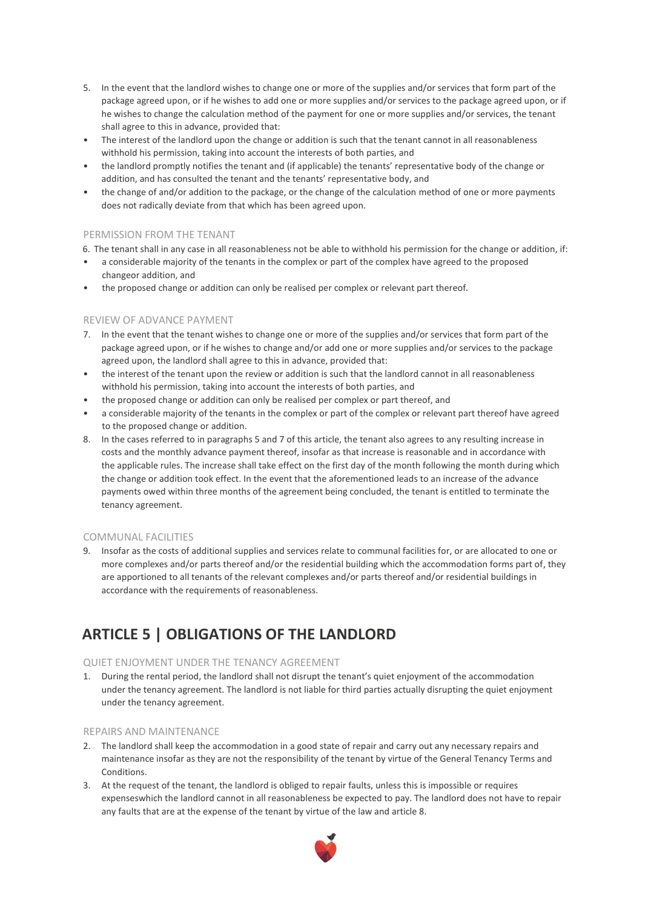- 5. In the event that the landlord wishes to change one or more of the supplies and/or services that form part of the package agreed upon, or if he wishes to add one or more supplies and/or services to the package agreed upon, or if he wishes to change the calculation method of the payment for one or more supplies and/or services, the tenant shall agree to this in advance, provided that:
- The interest of the landlord upon the change or addition is such that the tenant cannot in all reasonableness withhold his permission, taking into account the interests of both parties, and
- the landlord promptly notifies the tenant and (if applicable) the tenants' representative body of the change or addition, and has consulted the tenant and the tenants' representative body, and
- the change of and/or addition to the package, or the change of the calculation method of one or more payments does not radically deviate from that which has been agreed upon.

#### PERMISSION FROM THE TENANT

6. The tenant shall in any case in all reasonableness not be able to withhold his permission for the change or addition, if:

- a considerable majority of the tenants in the complex or part of the complex have agreed to the proposed changeor addition, and
- the proposed change or addition can only be realised per complex or relevant part thereof.

#### REVIEW OF ADVANCE PAYMENT

- 7. In the event that the tenant wishes to change one or more of the supplies and/or services that form part of the package agreed upon, or if he wishes to change and/or add one or more supplies and/or services to the package agreed upon, the landlord shall agree to this in advance, provided that:
- the interest of the tenant upon the review or addition is such that the landlord cannot in all reasonableness withhold his permission, taking into account the interests of both parties, and
- the proposed change or addition can only be realised per complex or part thereof, and
- a considerable majority of the tenants in the complex or part of the complex or relevant part thereof have agreed to the proposed change or addition.
- 8. In the cases referred to in paragraphs 5 and 7 of this article, the tenant also agrees to any resulting increase in costs and the monthly advance payment thereof, insofar as that increase is reasonable and in accordance with the applicable rules. The increase shall take effect on the first day of the month following the month during which the change or addition took effect. In the event that the aforementioned leads to an increase of the advance payments owed within three months of the agreement being concluded, the tenant is entitled to terminate the tenancy agreement.

#### COMMUNAL FACILITIES

9. Insofar as the costs of additional supplies and services relate to communal facilities for, or are allocated to one or more complexes and/or parts thereof and/or the residential building which the accommodation forms part of, they are apportioned to all tenants of the relevant complexes and/or parts thereof and/or residential buildings in accordance with the requirements of reasonableness.

### **ARTICLE 5 | OBLIGATIONS OF THE LANDLORD**

#### QUIET ENJOYMENT UNDER THE TENANCY AGREEMENT

1. During the rental period, the landlord shall not disrupt the tenant's quiet enjoyment of the accommodation under the tenancy agreement. The landlord is not liable for third parties actually disrupting the quiet enjoyment under the tenancy agreement.

#### REPAIRS AND MAINTENANCE

- 2. The landlord shall keep the accommodation in a good state of repair and carry out any necessary repairs and maintenance insofar as they are not the responsibility of the tenant by virtue of the General Tenancy Terms and Conditions.
- 3. At the request of the tenant, the landlord is obliged to repair faults, unless this is impossible or requires expenseswhich the landlord cannot in all reasonableness be expected to pay. The landlord does not have to repair any faults that are at the expense of the tenant by virtue of the law and article 8.

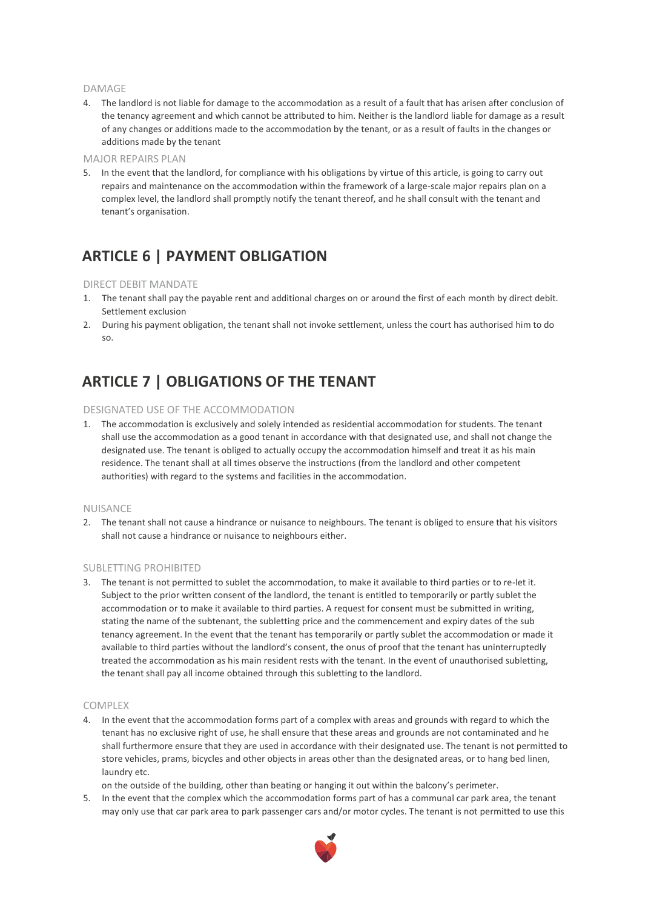#### DAMAGE

4. The landlord is not liable for damage to the accommodation as a result of a fault that has arisen after conclusion of the tenancy agreement and which cannot be attributed to him. Neither is the landlord liable for damage as a result of any changes or additions made to the accommodation by the tenant, or as a result of faults in the changes or additions made by the tenant

#### MAJOR REPAIRS PLAN

5. In the event that the landlord, for compliance with his obligations by virtue of this article, is going to carry out repairs and maintenance on the accommodation within the framework of a large-scale major repairs plan on a complex level, the landlord shall promptly notify the tenant thereof, and he shall consult with the tenant and tenant's organisation.

### **ARTICLE 6 | PAYMENT OBLIGATION**

#### DIRECT DEBIT MANDATE

- 1. The tenant shall pay the payable rent and additional charges on or around the first of each month by direct debit. Settlement exclusion
- 2. During his payment obligation, the tenant shall not invoke settlement, unless the court has authorised him to do so.

### **ARTICLE 7 | OBLIGATIONS OF THE TENANT**

#### DESIGNATED USE OF THE ACCOMMODATION

1. The accommodation is exclusively and solely intended as residential accommodation for students. The tenant shall use the accommodation as a good tenant in accordance with that designated use, and shall not change the designated use. The tenant is obliged to actually occupy the accommodation himself and treat it as his main residence. The tenant shall at all times observe the instructions (from the landlord and other competent authorities) with regard to the systems and facilities in the accommodation.

#### NUISANCE

2. The tenant shall not cause a hindrance or nuisance to neighbours. The tenant is obliged to ensure that his visitors shall not cause a hindrance or nuisance to neighbours either.

#### SUBLETTING PROHIBITED

3. The tenant is not permitted to sublet the accommodation, to make it available to third parties or to re-let it. Subject to the prior written consent of the landlord, the tenant is entitled to temporarily or partly sublet the accommodation or to make it available to third parties. A request for consent must be submitted in writing, stating the name of the subtenant, the subletting price and the commencement and expiry dates of the sub tenancy agreement. In the event that the tenant has temporarily or partly sublet the accommodation or made it available to third parties without the landlord's consent, the onus of proof that the tenant has uninterruptedly treated the accommodation as his main resident rests with the tenant. In the event of unauthorised subletting, the tenant shall pay all income obtained through this subletting to the landlord.

#### COMPLEX

4. In the event that the accommodation forms part of a complex with areas and grounds with regard to which the tenant has no exclusive right of use, he shall ensure that these areas and grounds are not contaminated and he shall furthermore ensure that they are used in accordance with their designated use. The tenant is not permitted to store vehicles, prams, bicycles and other objects in areas other than the designated areas, or to hang bed linen, laundry etc.

on the outside of the building, other than beating or hanging it out within the balcony's perimeter.

5. In the event that the complex which the accommodation forms part of has a communal car park area, the tenant may only use that car park area to park passenger cars and/or motor cycles. The tenant is not permitted to use this

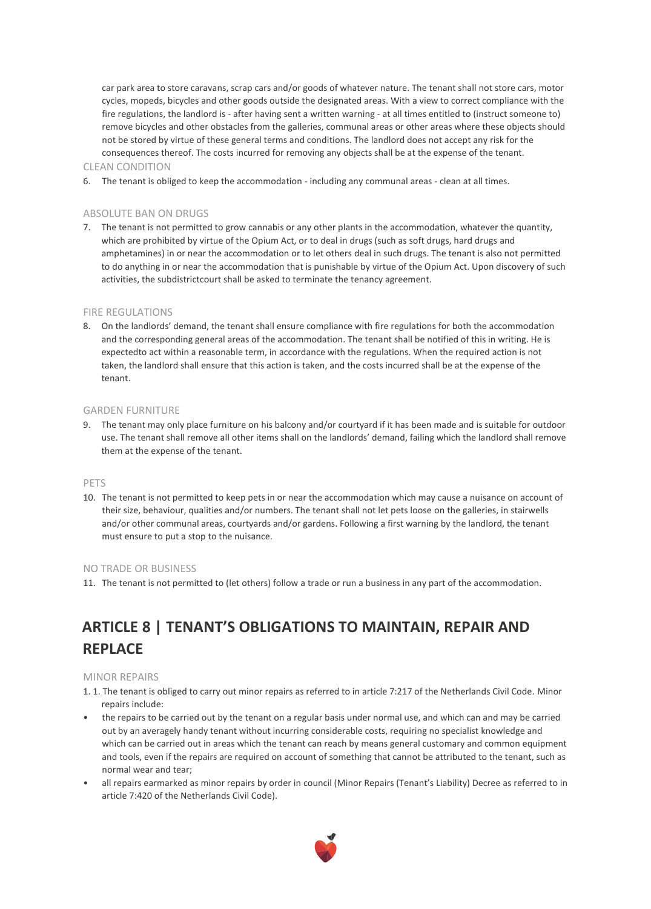car park area to store caravans, scrap cars and/or goods of whatever nature. The tenant shall not store cars, motor cycles, mopeds, bicycles and other goods outside the designated areas. With a view to correct compliance with the fire regulations, the landlord is - after having sent a written warning - at all times entitled to (instruct someone to) remove bicycles and other obstacles from the galleries, communal areas or other areas where these objects should not be stored by virtue of these general terms and conditions. The landlord does not accept any risk for the consequences thereof. The costs incurred for removing any objects shall be at the expense of the tenant.

#### CLEAN CONDITION

6. The tenant is obliged to keep the accommodation - including any communal areas - clean at all times.

#### ABSOLUTE BAN ON DRUGS

7. The tenant is not permitted to grow cannabis or any other plants in the accommodation, whatever the quantity, which are prohibited by virtue of the Opium Act, or to deal in drugs (such as soft drugs, hard drugs and amphetamines) in or near the accommodation or to let others deal in such drugs. The tenant is also not permitted to do anything in or near the accommodation that is punishable by virtue of the Opium Act. Upon discovery of such activities, the subdistrictcourt shall be asked to terminate the tenancy agreement.

#### FIRE REGULATIONS

8. On the landlords' demand, the tenant shall ensure compliance with fire regulations for both the accommodation and the corresponding general areas of the accommodation. The tenant shall be notified of this in writing. He is expectedto act within a reasonable term, in accordance with the regulations. When the required action is not taken, the landlord shall ensure that this action is taken, and the costs incurred shall be at the expense of the tenant.

#### GARDEN FURNITURE

9. The tenant may only place furniture on his balcony and/or courtyard if it has been made and is suitable for outdoor use. The tenant shall remove all other items shall on the landlords' demand, failing which the landlord shall remove them at the expense of the tenant.

#### PETS

10. The tenant is not permitted to keep pets in or near the accommodation which may cause a nuisance on account of their size, behaviour, qualities and/or numbers. The tenant shall not let pets loose on the galleries, in stairwells and/or other communal areas, courtyards and/or gardens. Following a first warning by the landlord, the tenant must ensure to put a stop to the nuisance.

#### NO TRADE OR BUSINESS

11. The tenant is not permitted to (let others) follow a trade or run a business in any part of the accommodation.

# **ARTICLE 8 | TENANT'S OBLIGATIONS TO MAINTAIN, REPAIR AND REPLACE**

#### MINOR REPAIRS

- 1. 1. The tenant is obliged to carry out minor repairs as referred to in article 7:217 of the Netherlands Civil Code. Minor repairs include:
- the repairs to be carried out by the tenant on a regular basis under normal use, and which can and may be carried out by an averagely handy tenant without incurring considerable costs, requiring no specialist knowledge and which can be carried out in areas which the tenant can reach by means general customary and common equipment and tools, even if the repairs are required on account of something that cannot be attributed to the tenant, such as normal wear and tear;
- all repairs earmarked as minor repairs by order in council (Minor Repairs (Tenant's Liability) Decree as referred to in article 7:420 of the Netherlands Civil Code).

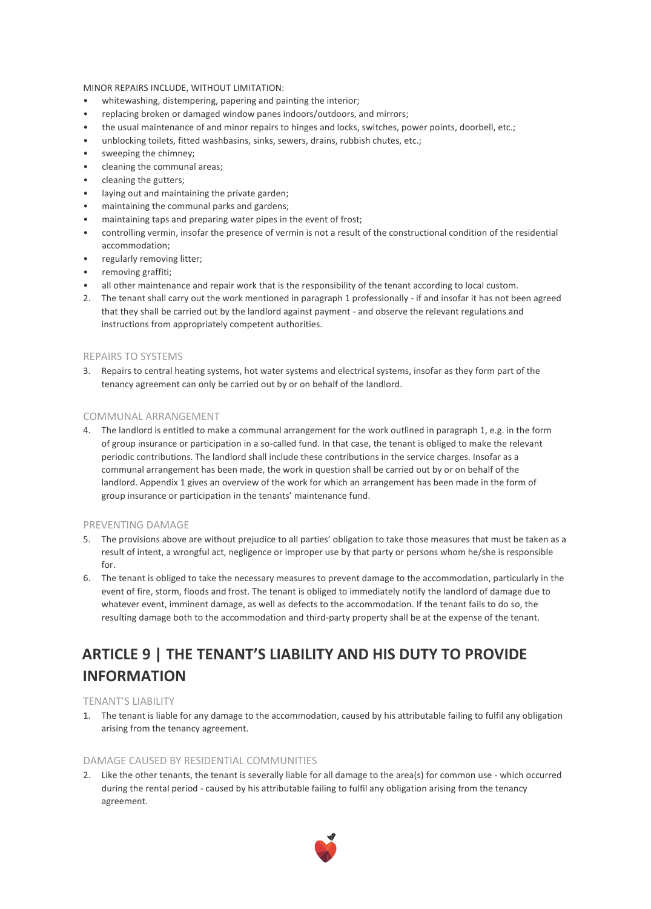#### MINOR REPAIRS INCLUDE, WITHOUT LIMITATION:

- whitewashing, distempering, papering and painting the interior;
- replacing broken or damaged window panes indoors/outdoors, and mirrors;
- the usual maintenance of and minor repairs to hinges and locks, switches, power points, doorbell, etc.;
- unblocking toilets, fitted washbasins, sinks, sewers, drains, rubbish chutes, etc.;
- sweeping the chimney;
- cleaning the communal areas;
- cleaning the gutters;
- laying out and maintaining the private garden;
- maintaining the communal parks and gardens;
- maintaining taps and preparing water pipes in the event of frost;
- controlling vermin, insofar the presence of vermin is not a result of the constructional condition of the residential accommodation;
- regularly removing litter;
- removing graffiti;
- all other maintenance and repair work that is the responsibility of the tenant according to local custom.
- 2. The tenant shall carry out the work mentioned in paragraph 1 professionally if and insofar it has not been agreed that they shall be carried out by the landlord against payment - and observe the relevant regulations and instructions from appropriately competent authorities.

#### REPAIRS TO SYSTEMS

3. Repairs to central heating systems, hot water systems and electrical systems, insofar as they form part of the tenancy agreement can only be carried out by or on behalf of the landlord.

#### COMMUNAL ARRANGEMENT

4. The landlord is entitled to make a communal arrangement for the work outlined in paragraph 1, e.g. in the form of group insurance or participation in a so-called fund. In that case, the tenant is obliged to make the relevant periodic contributions. The landlord shall include these contributions in the service charges. Insofar as a communal arrangement has been made, the work in question shall be carried out by or on behalf of the landlord. Appendix 1 gives an overview of the work for which an arrangement has been made in the form of group insurance or participation in the tenants' maintenance fund.

#### PREVENTING DAMAGE

- 5. The provisions above are without prejudice to all parties' obligation to take those measures that must be taken as a result of intent, a wrongful act, negligence or improper use by that party or persons whom he/she is responsible for.
- 6. The tenant is obliged to take the necessary measures to prevent damage to the accommodation, particularly in the event of fire, storm, floods and frost. The tenant is obliged to immediately notify the landlord of damage due to whatever event, imminent damage, as well as defects to the accommodation. If the tenant fails to do so, the resulting damage both to the accommodation and third-party property shall be at the expense of the tenant.

# **ARTICLE 9 | THE TENANT'S LIABILITY AND HIS DUTY TO PROVIDE INFORMATION**

#### TENANT'S LIABILITY

1. The tenant is liable for any damage to the accommodation, caused by his attributable failing to fulfil any obligation arising from the tenancy agreement.

#### DAMAGE CAUSED BY RESIDENTIAL COMMUNITIES

2. Like the other tenants, the tenant is severally liable for all damage to the area(s) for common use - which occurred during the rental period - caused by his attributable failing to fulfil any obligation arising from the tenancy agreement.

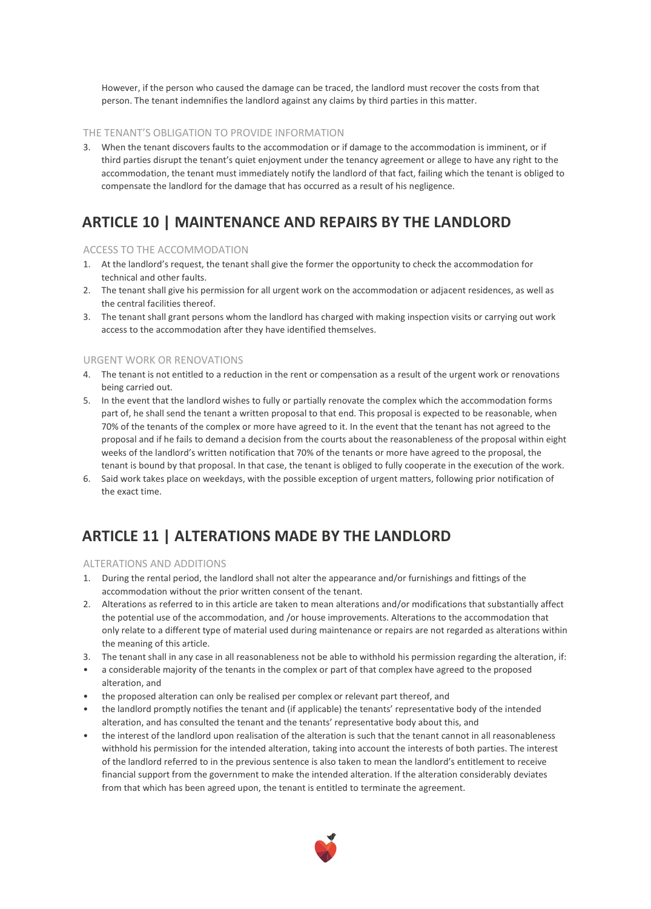However, if the person who caused the damage can be traced, the landlord must recover the costs from that person. The tenant indemnifies the landlord against any claims by third parties in this matter.

#### THE TENANT'S OBLIGATION TO PROVIDE INFORMATION

3. When the tenant discovers faults to the accommodation or if damage to the accommodation is imminent, or if third parties disrupt the tenant's quiet enjoyment under the tenancy agreement or allege to have any right to the accommodation, the tenant must immediately notify the landlord of that fact, failing which the tenant is obliged to compensate the landlord for the damage that has occurred as a result of his negligence.

### **ARTICLE 10 | MAINTENANCE AND REPAIRS BY THE LANDLORD**

#### ACCESS TO THE ACCOMMODATION

- 1. At the landlord's request, the tenant shall give the former the opportunity to check the accommodation for technical and other faults.
- 2. The tenant shall give his permission for all urgent work on the accommodation or adjacent residences, as well as the central facilities thereof.
- 3. The tenant shall grant persons whom the landlord has charged with making inspection visits or carrying out work access to the accommodation after they have identified themselves.

#### URGENT WORK OR RENOVATIONS

- 4. The tenant is not entitled to a reduction in the rent or compensation as a result of the urgent work or renovations being carried out.
- 5. In the event that the landlord wishes to fully or partially renovate the complex which the accommodation forms part of, he shall send the tenant a written proposal to that end. This proposal is expected to be reasonable, when 70% of the tenants of the complex or more have agreed to it. In the event that the tenant has not agreed to the proposal and if he fails to demand a decision from the courts about the reasonableness of the proposal within eight weeks of the landlord's written notification that 70% of the tenants or more have agreed to the proposal, the tenant is bound by that proposal. In that case, the tenant is obliged to fully cooperate in the execution of the work.
- 6. Said work takes place on weekdays, with the possible exception of urgent matters, following prior notification of the exact time.

### **ARTICLE 11 | ALTERATIONS MADE BY THE LANDLORD**

#### ALTERATIONS AND ADDITIONS

- 1. During the rental period, the landlord shall not alter the appearance and/or furnishings and fittings of the accommodation without the prior written consent of the tenant.
- 2. Alterations as referred to in this article are taken to mean alterations and/or modifications that substantially affect the potential use of the accommodation, and /or house improvements. Alterations to the accommodation that only relate to a different type of material used during maintenance or repairs are not regarded as alterations within the meaning of this article.
- 3. The tenant shall in any case in all reasonableness not be able to withhold his permission regarding the alteration, if:
- a considerable majority of the tenants in the complex or part of that complex have agreed to the proposed alteration, and
- the proposed alteration can only be realised per complex or relevant part thereof, and
- the landlord promptly notifies the tenant and (if applicable) the tenants' representative body of the intended alteration, and has consulted the tenant and the tenants' representative body about this, and
- the interest of the landlord upon realisation of the alteration is such that the tenant cannot in all reasonableness withhold his permission for the intended alteration, taking into account the interests of both parties. The interest of the landlord referred to in the previous sentence is also taken to mean the landlord's entitlement to receive financial support from the government to make the intended alteration. If the alteration considerably deviates from that which has been agreed upon, the tenant is entitled to terminate the agreement.

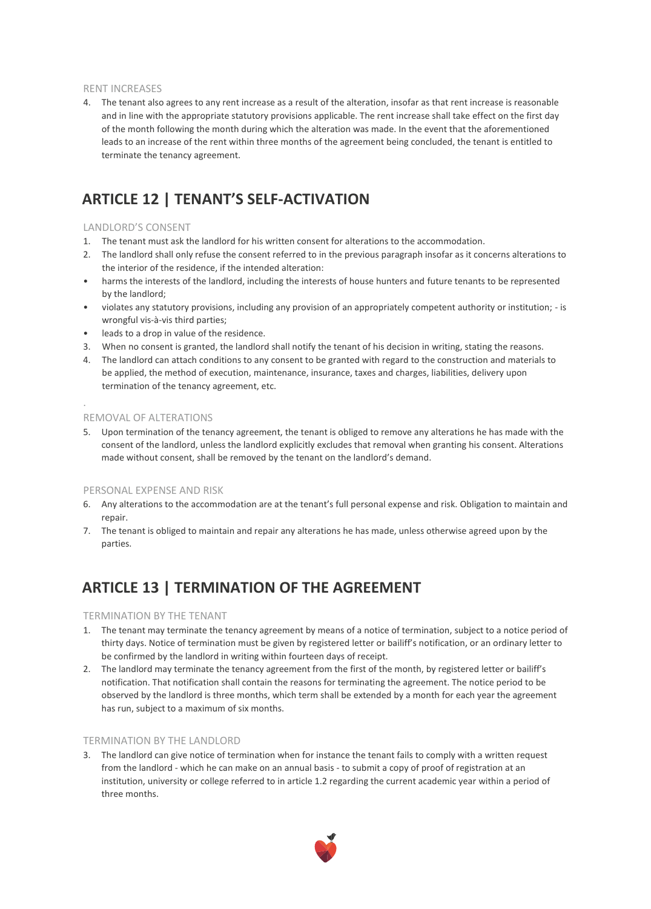#### RENT INCREASES

4. The tenant also agrees to any rent increase as a result of the alteration, insofar as that rent increase is reasonable and in line with the appropriate statutory provisions applicable. The rent increase shall take effect on the first day of the month following the month during which the alteration was made. In the event that the aforementioned leads to an increase of the rent within three months of the agreement being concluded, the tenant is entitled to terminate the tenancy agreement.

### **ARTICLE 12 | TENANT'S SELF-ACTIVATION**

#### LANDLORD'S CONSENT

- 1. The tenant must ask the landlord for his written consent for alterations to the accommodation.
- 2. The landlord shall only refuse the consent referred to in the previous paragraph insofar as it concerns alterations to the interior of the residence, if the intended alteration:
- harms the interests of the landlord, including the interests of house hunters and future tenants to be represented by the landlord;
- violates any statutory provisions, including any provision of an appropriately competent authority or institution; is wrongful vis-à-vis third parties;
- leads to a drop in value of the residence.
- 3. When no consent is granted, the landlord shall notify the tenant of his decision in writing, stating the reasons.
- 4. The landlord can attach conditions to any consent to be granted with regard to the construction and materials to be applied, the method of execution, maintenance, insurance, taxes and charges, liabilities, delivery upon termination of the tenancy agreement, etc.

REMOVAL OF ALTERATIONS

.

5. Upon termination of the tenancy agreement, the tenant is obliged to remove any alterations he has made with the consent of the landlord, unless the landlord explicitly excludes that removal when granting his consent. Alterations made without consent, shall be removed by the tenant on the landlord's demand.

#### PERSONAL EXPENSE AND RISK

- 6. Any alterations to the accommodation are at the tenant's full personal expense and risk. Obligation to maintain and repair.
- 7. The tenant is obliged to maintain and repair any alterations he has made, unless otherwise agreed upon by the parties.

### **ARTICLE 13 | TERMINATION OF THE AGREEMENT**

#### TERMINATION BY THE TENANT

- 1. The tenant may terminate the tenancy agreement by means of a notice of termination, subject to a notice period of thirty days. Notice of termination must be given by registered letter or bailiff's notification, or an ordinary letter to be confirmed by the landlord in writing within fourteen days of receipt.
- 2. The landlord may terminate the tenancy agreement from the first of the month, by registered letter or bailiff's notification. That notification shall contain the reasons for terminating the agreement. The notice period to be observed by the landlord is three months, which term shall be extended by a month for each year the agreement has run, subject to a maximum of six months.

#### TERMINATION BY THE LANDLORD

3. The landlord can give notice of termination when for instance the tenant fails to comply with a written request from the landlord - which he can make on an annual basis - to submit a copy of proof of registration at an institution, university or college referred to in article 1.2 regarding the current academic year within a period of three months.

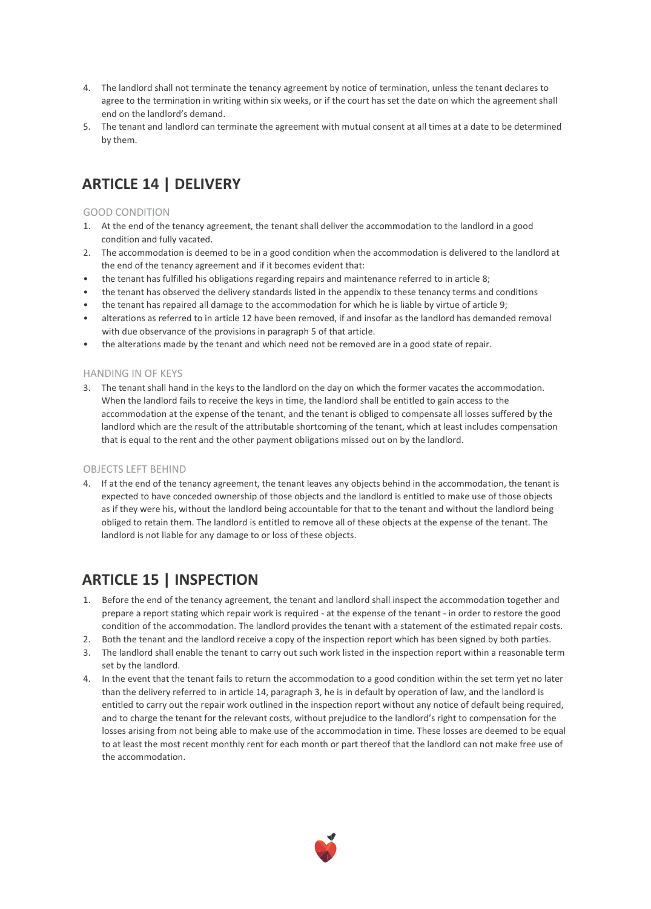- 4. The landlord shall not terminate the tenancy agreement by notice of termination, unless the tenant declares to agree to the termination in writing within six weeks, or if the court has set the date on which the agreement shall end on the landlord's demand.
- 5. The tenant and landlord can terminate the agreement with mutual consent at all times at a date to be determined by them.

## **ARTICLE 14 | DELIVERY**

#### GOOD CONDITION

- 1. At the end of the tenancy agreement, the tenant shall deliver the accommodation to the landlord in a good condition and fully vacated.
- 2. The accommodation is deemed to be in a good condition when the accommodation is delivered to the landlord at the end of the tenancy agreement and if it becomes evident that:
- the tenant has fulfilled his obligations regarding repairs and maintenance referred to in article 8;
- the tenant has observed the delivery standards listed in the appendix to these tenancy terms and conditions
- the tenant has repaired all damage to the accommodation for which he is liable by virtue of article 9;
- alterations as referred to in article 12 have been removed, if and insofar as the landlord has demanded removal with due observance of the provisions in paragraph 5 of that article.
- the alterations made by the tenant and which need not be removed are in a good state of repair.

#### HANDING IN OF KEYS

3. The tenant shall hand in the keys to the landlord on the day on which the former vacates the accommodation. When the landlord fails to receive the keys in time, the landlord shall be entitled to gain access to the accommodation at the expense of the tenant, and the tenant is obliged to compensate all losses suffered by the landlord which are the result of the attributable shortcoming of the tenant, which at least includes compensation that is equal to the rent and the other payment obligations missed out on by the landlord.

#### OBJECTS LEFT BEHIND

4. If at the end of the tenancy agreement, the tenant leaves any objects behind in the accommodation, the tenant is expected to have conceded ownership of those objects and the landlord is entitled to make use of those objects as if they were his, without the landlord being accountable for that to the tenant and without the landlord being obliged to retain them. The landlord is entitled to remove all of these objects at the expense of the tenant. The landlord is not liable for any damage to or loss of these objects.

### **ARTICLE 15 | INSPECTION**

- 1. Before the end of the tenancy agreement, the tenant and landlord shall inspect the accommodation together and prepare a report stating which repair work is required - at the expense of the tenant - in order to restore the good condition of the accommodation. The landlord provides the tenant with a statement of the estimated repair costs.
- 2. Both the tenant and the landlord receive a copy of the inspection report which has been signed by both parties.
- 3. The landlord shall enable the tenant to carry out such work listed in the inspection report within a reasonable term set by the landlord.
- 4. In the event that the tenant fails to return the accommodation to a good condition within the set term yet no later than the delivery referred to in article 14, paragraph 3, he is in default by operation of law, and the landlord is entitled to carry out the repair work outlined in the inspection report without any notice of default being required, and to charge the tenant for the relevant costs, without prejudice to the landlord's right to compensation for the losses arising from not being able to make use of the accommodation in time. These losses are deemed to be equal to at least the most recent monthly rent for each month or part thereof that the landlord can not make free use of the accommodation.

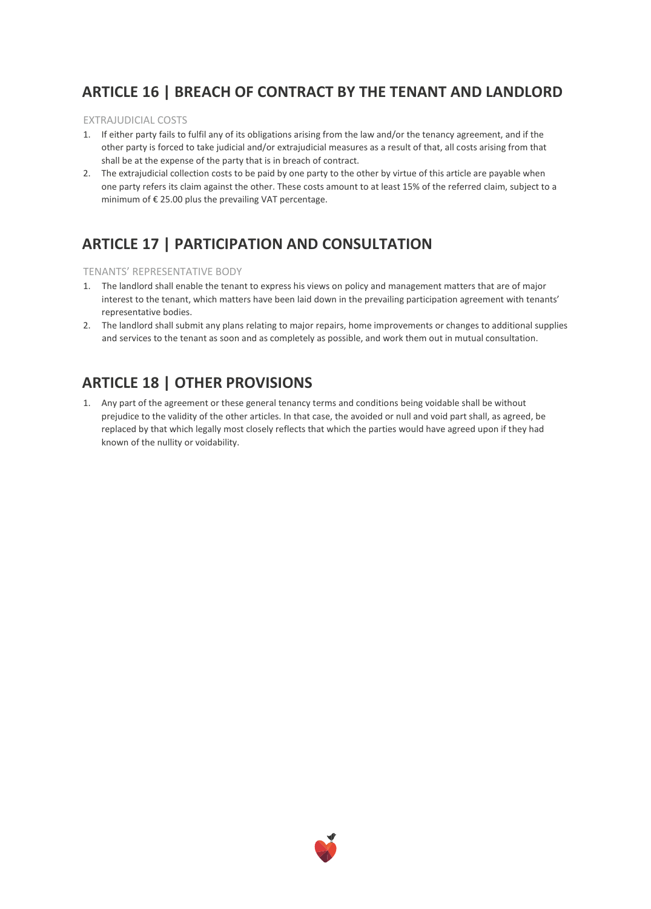### **ARTICLE 16 | BREACH OF CONTRACT BY THE TENANT AND LANDLORD**

#### EXTRAJUDICIAL COSTS

- 1. If either party fails to fulfil any of its obligations arising from the law and/or the tenancy agreement, and if the other party is forced to take judicial and/or extrajudicial measures as a result of that, all costs arising from that shall be at the expense of the party that is in breach of contract.
- 2. The extrajudicial collection costs to be paid by one party to the other by virtue of this article are payable when one party refers its claim against the other. These costs amount to at least 15% of the referred claim, subject to a minimum of € 25.00 plus the prevailing VAT percentage.

# **ARTICLE 17 | PARTICIPATION AND CONSULTATION**

#### TENANTS' REPRESENTATIVE BODY

- 1. The landlord shall enable the tenant to express his views on policy and management matters that are of major interest to the tenant, which matters have been laid down in the prevailing participation agreement with tenants' representative bodies.
- 2. The landlord shall submit any plans relating to major repairs, home improvements or changes to additional supplies and services to the tenant as soon and as completely as possible, and work them out in mutual consultation.

### **ARTICLE 18 | OTHER PROVISIONS**

1. Any part of the agreement or these general tenancy terms and conditions being voidable shall be without prejudice to the validity of the other articles. In that case, the avoided or null and void part shall, as agreed, be replaced by that which legally most closely reflects that which the parties would have agreed upon if they had known of the nullity or voidability.

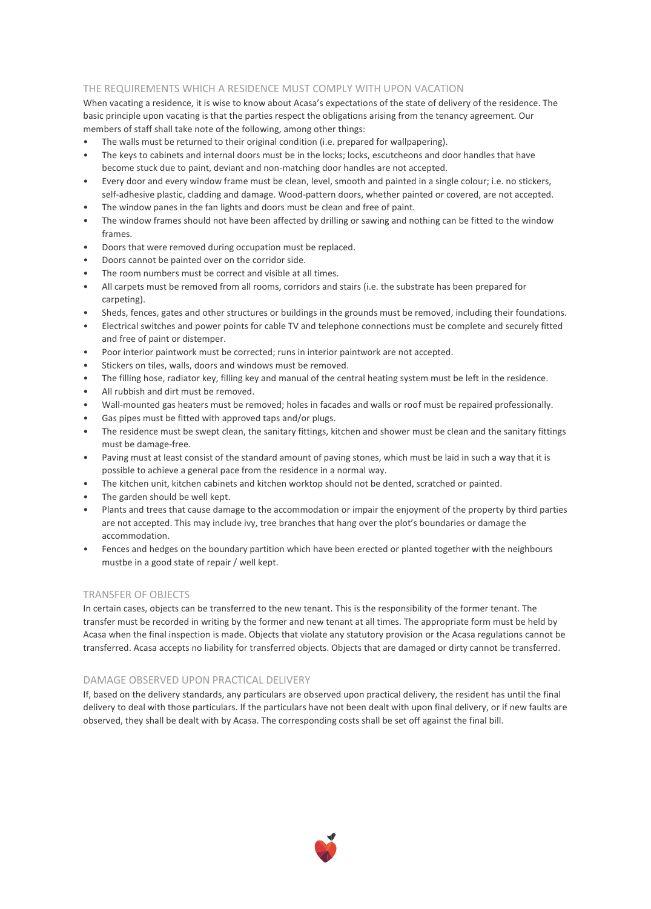#### THE REQUIREMENTS WHICH A RESIDENCE MUST COMPLY WITH UPON VACATION

When vacating a residence, it is wise to know about Acasa's expectations of the state of delivery of the residence. The basic principle upon vacating is that the parties respect the obligations arising from the tenancy agreement. Our members of staff shall take note of the following, among other things:

- The walls must be returned to their original condition (i.e. prepared for wallpapering).
- The keys to cabinets and internal doors must be in the locks; locks, escutcheons and door handles that have become stuck due to paint, deviant and non-matching door handles are not accepted.
- Every door and every window frame must be clean, level, smooth and painted in a single colour; i.e. no stickers,
- self-adhesive plastic, cladding and damage. Wood-pattern doors, whether painted or covered, are not accepted. The window panes in the fan lights and doors must be clean and free of paint.
- The window frames should not have been affected by drilling or sawing and nothing can be fitted to the window frames.
- Doors that were removed during occupation must be replaced.
- Doors cannot be painted over on the corridor side.
- The room numbers must be correct and visible at all times.
- All carpets must be removed from all rooms, corridors and stairs (i.e. the substrate has been prepared for carpeting).
- Sheds, fences, gates and other structures or buildings in the grounds must be removed, including their foundations.
- Electrical switches and power points for cable TV and telephone connections must be complete and securely fitted and free of paint or distemper.
- Poor interior paintwork must be corrected; runs in interior paintwork are not accepted.
- Stickers on tiles, walls, doors and windows must be removed.
- The filling hose, radiator key, filling key and manual of the central heating system must be left in the residence.
- All rubbish and dirt must be removed.
- Wall-mounted gas heaters must be removed; holes in facades and walls or roof must be repaired professionally.
- Gas pipes must be fitted with approved taps and/or plugs.
- The residence must be swept clean, the sanitary fittings, kitchen and shower must be clean and the sanitary fittings must be damage-free.
- Paving must at least consist of the standard amount of paving stones, which must be laid in such a way that it is possible to achieve a general pace from the residence in a normal way.
- The kitchen unit, kitchen cabinets and kitchen worktop should not be dented, scratched or painted.
- The garden should be well kept.
- Plants and trees that cause damage to the accommodation or impair the enjoyment of the property by third parties are not accepted. This may include ivy, tree branches that hang over the plot's boundaries or damage the accommodation.
- Fences and hedges on the boundary partition which have been erected or planted together with the neighbours mustbe in a good state of repair / well kept.

#### TRANSFER OF OBJECTS

In certain cases, objects can be transferred to the new tenant. This is the responsibility of the former tenant. The transfer must be recorded in writing by the former and new tenant at all times. The appropriate form must be held by Acasa when the final inspection is made. Objects that violate any statutory provision or the Acasa regulations cannot be transferred. Acasa accepts no liability for transferred objects. Objects that are damaged or dirty cannot be transferred.

#### DAMAGE OBSERVED UPON PRACTICAL DELIVERY

If, based on the delivery standards, any particulars are observed upon practical delivery, the resident has until the final delivery to deal with those particulars. If the particulars have not been dealt with upon final delivery, or if new faults are observed, they shall be dealt with by Acasa. The corresponding costs shall be set off against the final bill.